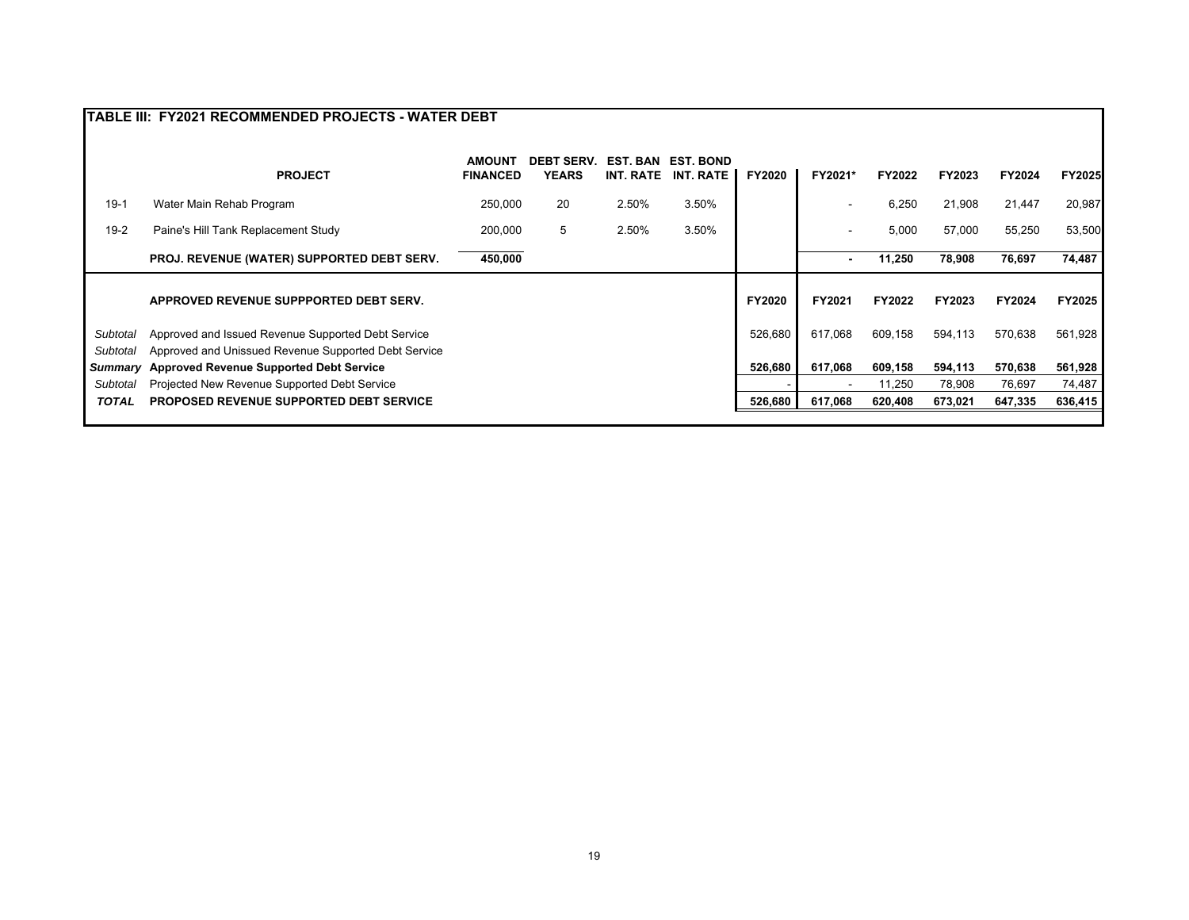|                | TABLE III: FY2021 RECOMMENDED PROJECTS - WATER DEBT  |                                  |                                   |                              |                                      |               |                |         |         |         |         |
|----------------|------------------------------------------------------|----------------------------------|-----------------------------------|------------------------------|--------------------------------------|---------------|----------------|---------|---------|---------|---------|
|                | <b>PROJECT</b>                                       | <b>AMOUNT</b><br><b>FINANCED</b> | <b>DEBT SERV.</b><br><b>YEARS</b> | <b>EST. BAN</b><br>INT. RATE | <b>EST. BOND</b><br><b>INT. RATE</b> | <b>FY2020</b> | FY2021*        | FY2022  | FY2023  | FY2024  | FY2025  |
| $19-1$         | Water Main Rehab Program                             | 250,000                          | 20                                | 2.50%                        | 3.50%                                |               |                | 6,250   | 21,908  | 21,447  | 20,987  |
| $19-2$         | Paine's Hill Tank Replacement Study                  | 200,000                          | 5                                 | 2.50%                        | 3.50%                                |               |                | 5,000   | 57,000  | 55,250  | 53,500  |
|                | <b>PROJ. REVENUE (WATER) SUPPORTED DEBT SERV.</b>    | 450,000                          |                                   |                              |                                      |               | -              | 11,250  | 78,908  | 76,697  | 74,487  |
|                | APPROVED REVENUE SUPPPORTED DEBT SERV.               |                                  |                                   |                              |                                      | <b>FY2020</b> | FY2021         | FY2022  | FY2023  | FY2024  | FY2025  |
| Subtotal       | Approved and Issued Revenue Supported Debt Service   |                                  |                                   |                              |                                      | 526,680       | 617.068        | 609,158 | 594,113 | 570,638 | 561,928 |
| Subtotal       | Approved and Unissued Revenue Supported Debt Service |                                  |                                   |                              |                                      |               |                |         |         |         |         |
| <b>Summary</b> | <b>Approved Revenue Supported Debt Service</b>       |                                  |                                   |                              |                                      | 526,680       | 617,068        | 609,158 | 594,113 | 570,638 | 561,928 |
| Subtotal       | Projected New Revenue Supported Debt Service         |                                  |                                   |                              |                                      |               | $\blacksquare$ | 11,250  | 78,908  | 76,697  | 74,487  |
| <b>TOTAL</b>   | <b>PROPOSED REVENUE SUPPORTED DEBT SERVICE</b>       |                                  |                                   |                              |                                      | 526,680       | 617,068        | 620,408 | 673,021 | 647,335 | 636,415 |
|                |                                                      |                                  |                                   |                              |                                      |               |                |         |         |         |         |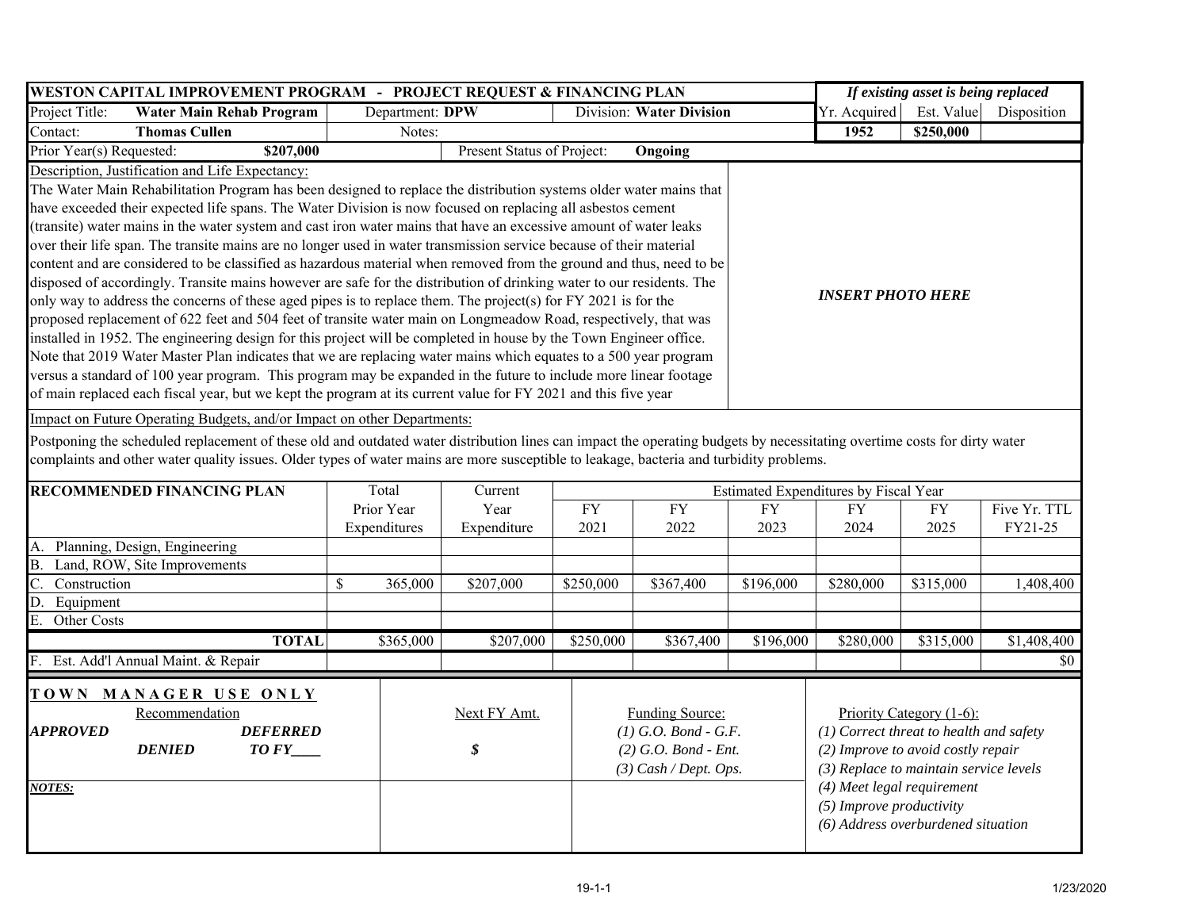|                                                                                                                     |                                                                                                                                                                          | WESTON CAPITAL IMPROVEMENT PROGRAM - PROJECT REQUEST & FINANCING PLAN |                                             |                            |            | If existing asset is being replaced              |                            |                                    |                                           |              |  |  |  |  |
|---------------------------------------------------------------------------------------------------------------------|--------------------------------------------------------------------------------------------------------------------------------------------------------------------------|-----------------------------------------------------------------------|---------------------------------------------|----------------------------|------------|--------------------------------------------------|----------------------------|------------------------------------|-------------------------------------------|--------------|--|--|--|--|
| Project Title:<br><b>Water Main Rehab Program</b>                                                                   |                                                                                                                                                                          |                                                                       | Department: DPW<br>Division: Water Division |                            |            |                                                  |                            | Yr. Acquired                       | Est. Value                                | Disposition  |  |  |  |  |
| Contact:                                                                                                            | <b>Thomas Cullen</b>                                                                                                                                                     |                                                                       | Notes:                                      |                            |            |                                                  |                            | 1952                               | \$250,000                                 |              |  |  |  |  |
| Prior Year(s) Requested:                                                                                            | \$207,000                                                                                                                                                                |                                                                       |                                             | Present Status of Project: |            | Ongoing                                          |                            |                                    |                                           |              |  |  |  |  |
|                                                                                                                     | Description, Justification and Life Expectancy:                                                                                                                          |                                                                       |                                             |                            |            |                                                  |                            |                                    |                                           |              |  |  |  |  |
|                                                                                                                     | The Water Main Rehabilitation Program has been designed to replace the distribution systems older water mains that                                                       |                                                                       |                                             |                            |            |                                                  |                            |                                    |                                           |              |  |  |  |  |
|                                                                                                                     | have exceeded their expected life spans. The Water Division is now focused on replacing all asbestos cement                                                              |                                                                       |                                             |                            |            |                                                  |                            |                                    |                                           |              |  |  |  |  |
|                                                                                                                     | (transite) water mains in the water system and cast iron water mains that have an excessive amount of water leaks                                                        |                                                                       |                                             |                            |            |                                                  |                            |                                    |                                           |              |  |  |  |  |
| over their life span. The transite mains are no longer used in water transmission service because of their material |                                                                                                                                                                          |                                                                       |                                             |                            |            |                                                  |                            |                                    |                                           |              |  |  |  |  |
| content and are considered to be classified as hazardous material when removed from the ground and thus, need to be |                                                                                                                                                                          |                                                                       |                                             |                            |            |                                                  |                            |                                    |                                           |              |  |  |  |  |
|                                                                                                                     | disposed of accordingly. Transite mains however are safe for the distribution of drinking water to our residents. The                                                    |                                                                       |                                             |                            |            |                                                  |                            |                                    |                                           |              |  |  |  |  |
|                                                                                                                     | only way to address the concerns of these aged pipes is to replace them. The project(s) for FY 2021 is for the                                                           |                                                                       |                                             |                            |            |                                                  |                            | <b>INSERT PHOTO HERE</b>           |                                           |              |  |  |  |  |
|                                                                                                                     | proposed replacement of 622 feet and 504 feet of transite water main on Longmeadow Road, respectively, that was                                                          |                                                                       |                                             |                            |            |                                                  |                            |                                    |                                           |              |  |  |  |  |
|                                                                                                                     | installed in 1952. The engineering design for this project will be completed in house by the Town Engineer office.                                                       |                                                                       |                                             |                            |            |                                                  |                            |                                    |                                           |              |  |  |  |  |
|                                                                                                                     | Note that 2019 Water Master Plan indicates that we are replacing water mains which equates to a 500 year program                                                         |                                                                       |                                             |                            |            |                                                  |                            |                                    |                                           |              |  |  |  |  |
|                                                                                                                     | versus a standard of 100 year program. This program may be expanded in the future to include more linear footage                                                         |                                                                       |                                             |                            |            |                                                  |                            |                                    |                                           |              |  |  |  |  |
|                                                                                                                     | of main replaced each fiscal year, but we kept the program at its current value for FY 2021 and this five year                                                           |                                                                       |                                             |                            |            |                                                  |                            |                                    |                                           |              |  |  |  |  |
|                                                                                                                     | Impact on Future Operating Budgets, and/or Impact on other Departments:                                                                                                  |                                                                       |                                             |                            |            |                                                  |                            |                                    |                                           |              |  |  |  |  |
|                                                                                                                     | Postponing the scheduled replacement of these old and outdated water distribution lines can impact the operating budgets by necessitating overtime costs for dirty water |                                                                       |                                             |                            |            |                                                  |                            |                                    |                                           |              |  |  |  |  |
|                                                                                                                     | complaints and other water quality issues. Older types of water mains are more susceptible to leakage, bacteria and turbidity problems.                                  |                                                                       |                                             |                            |            |                                                  |                            |                                    |                                           |              |  |  |  |  |
|                                                                                                                     |                                                                                                                                                                          |                                                                       |                                             |                            |            |                                                  |                            |                                    |                                           |              |  |  |  |  |
| Total<br><b>RECOMMENDED FINANCING PLAN</b><br>Current<br>Estimated Expenditures by Fiscal Year                      |                                                                                                                                                                          |                                                                       |                                             |                            |            |                                                  |                            |                                    |                                           |              |  |  |  |  |
|                                                                                                                     |                                                                                                                                                                          |                                                                       | Prior Year                                  | Year                       | ${\rm FY}$ | <b>FY</b>                                        | <b>FY</b>                  | <b>FY</b>                          | <b>FY</b>                                 | Five Yr. TTL |  |  |  |  |
|                                                                                                                     |                                                                                                                                                                          |                                                                       | Expenditures                                | Expenditure                | 2021       | 2022                                             | 2023                       | 2024                               | 2025                                      | FY21-25      |  |  |  |  |
|                                                                                                                     | A. Planning, Design, Engineering                                                                                                                                         |                                                                       |                                             |                            |            |                                                  |                            |                                    |                                           |              |  |  |  |  |
| В.                                                                                                                  | Land, ROW, Site Improvements                                                                                                                                             |                                                                       |                                             |                            |            |                                                  |                            |                                    |                                           |              |  |  |  |  |
| Construction                                                                                                        |                                                                                                                                                                          | \$                                                                    | 365,000                                     | \$207,000                  | \$250,000  | \$367,400                                        | \$196,000                  | \$280,000                          | \$315,000                                 | 1,408,400    |  |  |  |  |
| Equipment<br>D.                                                                                                     |                                                                                                                                                                          |                                                                       |                                             |                            |            |                                                  |                            |                                    |                                           |              |  |  |  |  |
| E.<br>Other Costs                                                                                                   |                                                                                                                                                                          |                                                                       |                                             |                            |            |                                                  |                            |                                    |                                           |              |  |  |  |  |
|                                                                                                                     | <b>TOTAL</b>                                                                                                                                                             |                                                                       | \$365,000                                   | \$207,000                  | \$250,000  | \$367,400                                        | \$196,000                  | \$280,000                          | \$315,000                                 | \$1,408,400  |  |  |  |  |
|                                                                                                                     | F. Est. Add'l Annual Maint. & Repair                                                                                                                                     |                                                                       |                                             |                            |            |                                                  |                            |                                    |                                           | \$0          |  |  |  |  |
|                                                                                                                     |                                                                                                                                                                          |                                                                       |                                             |                            |            |                                                  |                            |                                    |                                           |              |  |  |  |  |
|                                                                                                                     | TOWN MANAGER USE ONLY                                                                                                                                                    |                                                                       |                                             |                            |            |                                                  |                            |                                    |                                           |              |  |  |  |  |
| Recommendation<br>Next FY Amt.<br><b>Funding Source:</b><br>Priority Category (1-6):                                |                                                                                                                                                                          |                                                                       |                                             |                            |            |                                                  |                            |                                    |                                           |              |  |  |  |  |
| <b>APPROVED</b>                                                                                                     | <b>DEFERRED</b>                                                                                                                                                          |                                                                       |                                             |                            |            | $(1)$ G.O. Bond - G.F.<br>$(2)$ G.O. Bond - Ent. |                            |                                    | $(1)$ Correct threat to health and safety |              |  |  |  |  |
| \$<br><b>DENIED</b><br>$TOFY$ <sub>____</sub>                                                                       |                                                                                                                                                                          |                                                                       |                                             |                            |            |                                                  |                            | (2) Improve to avoid costly repair |                                           |              |  |  |  |  |
| (3) Replace to maintain service levels<br>$(3)$ Cash / Dept. Ops.                                                   |                                                                                                                                                                          |                                                                       |                                             |                            |            |                                                  |                            |                                    |                                           |              |  |  |  |  |
| NOTES:                                                                                                              |                                                                                                                                                                          |                                                                       |                                             |                            |            |                                                  | (4) Meet legal requirement |                                    |                                           |              |  |  |  |  |
|                                                                                                                     |                                                                                                                                                                          |                                                                       |                                             |                            |            |                                                  | (5) Improve productivity   |                                    |                                           |              |  |  |  |  |
|                                                                                                                     |                                                                                                                                                                          |                                                                       |                                             |                            |            |                                                  |                            | (6) Address overburdened situation |                                           |              |  |  |  |  |
|                                                                                                                     |                                                                                                                                                                          |                                                                       |                                             |                            |            |                                                  |                            |                                    |                                           |              |  |  |  |  |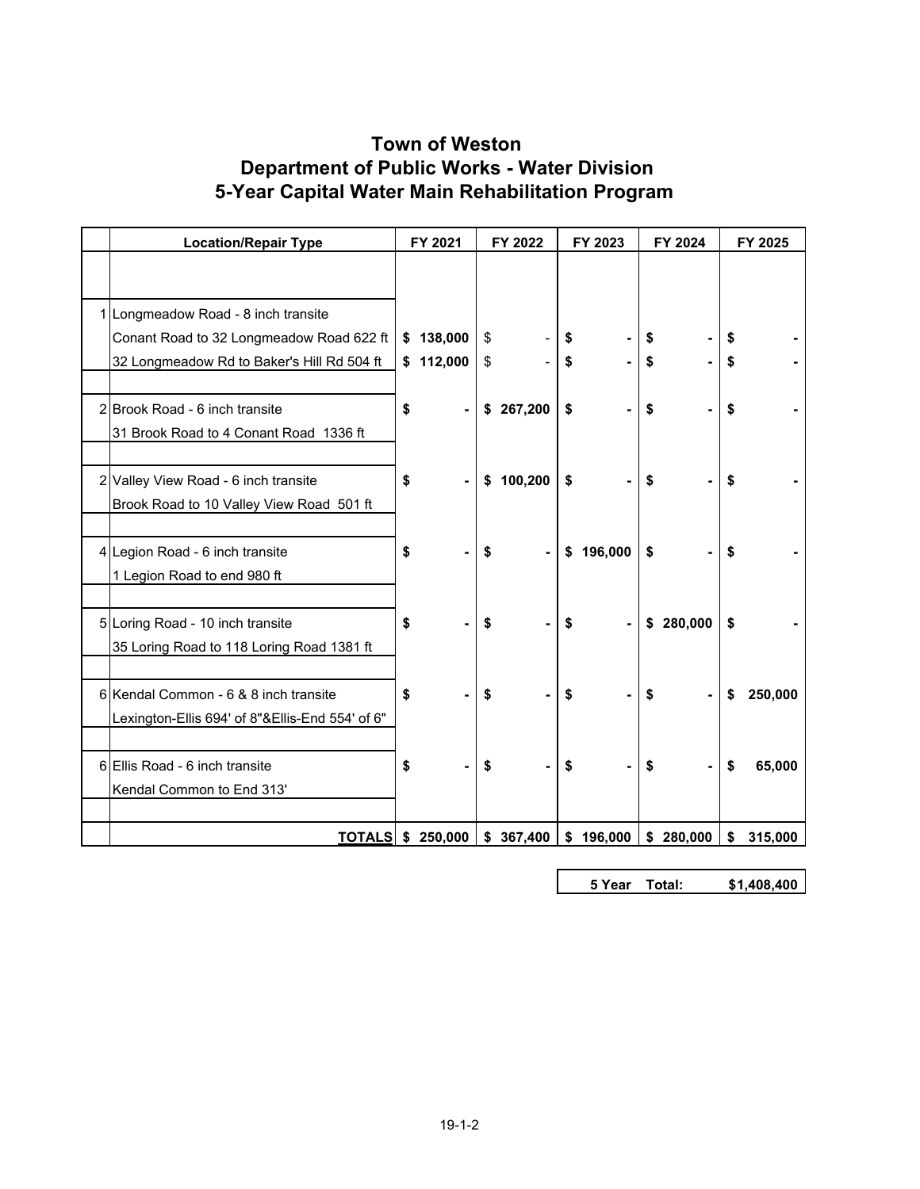## **Town of Weston 5-Year Capital Water Main Rehabilitation Program Department of Public Works - Water Division**

| <b>Location/Repair Type</b>                     |    | FY 2021   |    | FY 2022   |    | FY 2023   |    | FY 2024   |    | FY 2025 |
|-------------------------------------------------|----|-----------|----|-----------|----|-----------|----|-----------|----|---------|
|                                                 |    |           |    |           |    |           |    |           |    |         |
| 1 Longmeadow Road - 8 inch transite             |    |           |    |           |    |           |    |           |    |         |
| Conant Road to 32 Longmeadow Road 622 ft        |    | \$138,000 | \$ |           | \$ |           | \$ |           |    |         |
| 32 Longmeadow Rd to Baker's Hill Rd 504 ft      |    | \$112,000 | \$ |           | \$ |           | \$ |           | \$ |         |
| 2 Brook Road - 6 inch transite                  | \$ |           |    | \$267,200 | \$ |           | \$ |           | \$ |         |
| 31 Brook Road to 4 Conant Road 1336 ft          |    |           |    |           |    |           |    |           |    |         |
| 2 Valley View Road - 6 inch transite            | \$ |           |    | \$100,200 | \$ |           | \$ |           | \$ |         |
| Brook Road to 10 Valley View Road 501 ft        |    |           |    |           |    |           |    |           |    |         |
| 4 Legion Road - 6 inch transite                 | S  |           | S  |           |    | \$196,000 | \$ |           | \$ |         |
| 1 Legion Road to end 980 ft                     |    |           |    |           |    |           |    |           |    |         |
| 5 Loring Road - 10 inch transite                | \$ |           | \$ |           | \$ |           | \$ | 280,000   | \$ |         |
| 35 Loring Road to 118 Loring Road 1381 ft       |    |           |    |           |    |           |    |           |    |         |
| 6 Kendal Common - 6 & 8 inch transite           | \$ |           | \$ |           | \$ |           | \$ |           | \$ | 250,000 |
| Lexington-Ellis 694' of 8"&Ellis-End 554' of 6" |    |           |    |           |    |           |    |           |    |         |
| 6 Ellis Road - 6 inch transite                  | \$ |           | \$ |           | S  |           | \$ |           | \$ | 65,000  |
| Kendal Common to End 313'                       |    |           |    |           |    |           |    |           |    |         |
| <b>TOTALS</b> \$ 250,000                        |    |           |    | \$367,400 |    | \$196,000 |    | \$280,000 | \$ | 315,000 |

**5 Year Total: 1,408,400 \$**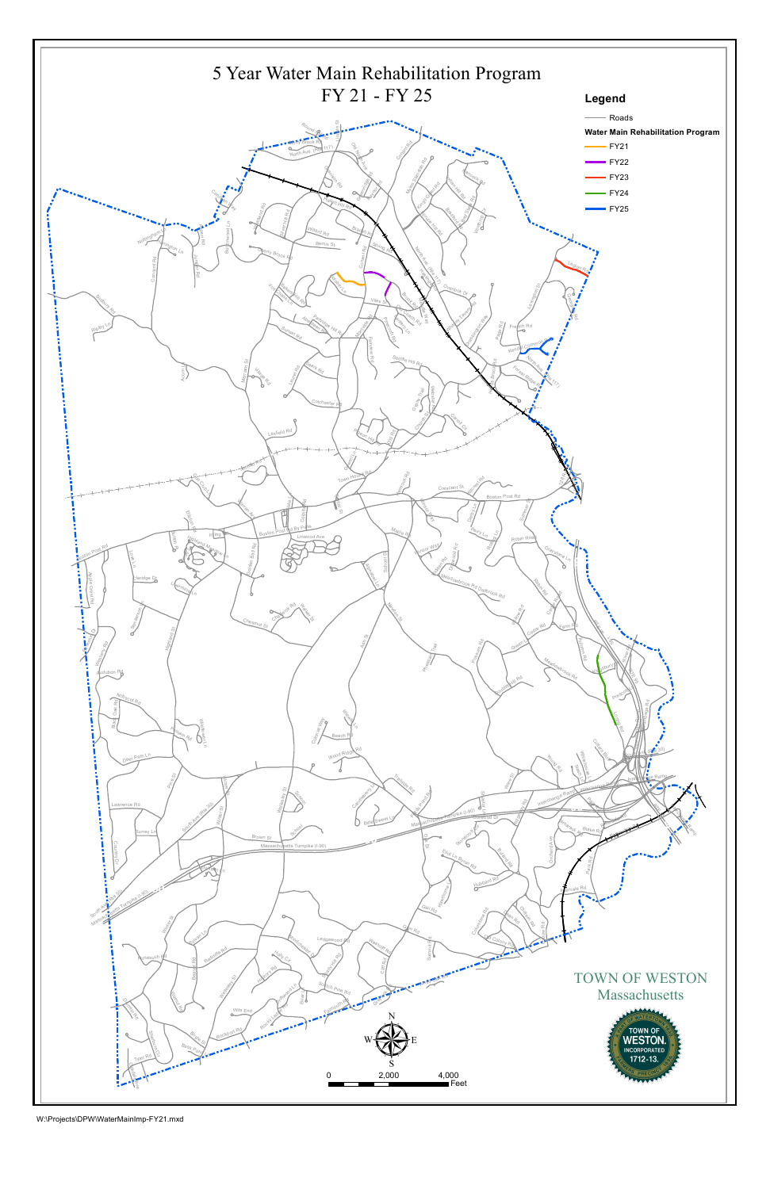

W:\Projects\DPW\WaterMainImp-FY21.mxd